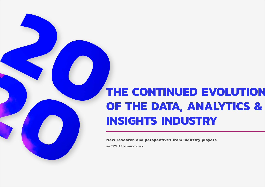# **THE CONTINUED EVOLUTION OF THE DATA, ANALYTICS & INSIGHTS INDUSTRY**

New research and perspectives from industry players

An ESOMAR industry report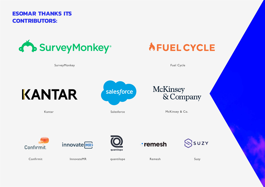**ESOMAR THANKS ITS CONTRIBUTORS:**

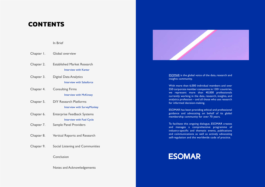# **CONTENTS**

In Brief

| Chapter I. | Global overview                                                        |
|------------|------------------------------------------------------------------------|
| Chapter 2. | <b>Established Market Research</b><br><b>Interview with Kantar</b>     |
| Chapter 3. | <b>Digital Data Analytics</b><br><b>Interview with Salesforce</b>      |
| Chapter 4. | <b>Consulting Firms</b><br><b>Interview with McKinsey</b>              |
| Chapter 5. | <b>DIY Research Platforms</b><br>Interview with SurveyMonkey           |
| Chapter 6. | <b>Enterprise Feedback Systems</b><br><b>Interview with Fuel Cycle</b> |
| Chapter 7. | <b>Sample Panel Providers</b>                                          |
| Chapter 8. | Vertical Reports and Research                                          |
| Chapter 9. | Social Listening and Communities                                       |
|            | Conclusion                                                             |
|            |                                                                        |

 [Notes and Acknowledgements](#page--1-0)



[ESOMAR](http://www.ESOMAR.org) is the global voice of the data, research and insights community.

With more than 6,000 individual members and over 550 corporate member companies in 130+ countries, we represent more than 40,000 professionals currently working in the data, research, insights, and analytics profession – and all those who use research for informed decision-making.

ESOMAR has been providing ethical and professional guidance and advocating on behalf of its global membership community for over 70 years.

To facilitate this ongoing dialogue, ESOMAR creates and manages a comprehensive programme of industry-specific and thematic events, publications and communications as well as actively advocating self-regulation and the worldwide code of practice.

# **ESOMAR**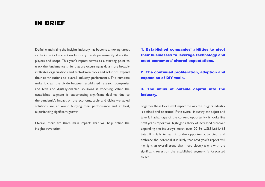### **IN BRIEF**

Defining and sizing the insights industry has become a moving target as the impact of current evolutionary trends permanently alters that players and scope. This year's report serves as a starting point to track the fundamental shifts that are occurring as data more broadly infiltrates organizations and tech-driven tools and solutions expand their contributions to overall industry performance. The numbers make it clear, the divide between established research companies and tech and digitally-enabled solutions is widening. While the established segment is experiencing significant declines due to the pandemic's impact on the economy, tech- and digitally-enabled solutions are, at worst, buoying their performance and, at best, experiencing significant growth.

Overall, there are three main impacts that will help define the insights revolution.

1. Established companies' abilities to pivot their businesses to leverage technology and meet customers' altered expectations.

2. The continued proliferation, adoption and expansion of DIY tools.

#### 3. The influx of outside capital into the industry.

Together these forces will impact the way the insights industry is defined and operated. If the overall industry can adjust and take full advantage of the current opportunity, it looks like next year's report will highlight a story of increased turnover, expanding the industry's reach over 2019's US\$84,664,468 total. If it fails to lean into the opportunity, to pivot and embrace the potential, it is likely that next year's report will highlight an overall trend that more closely aligns with the significant recession the established segment is forecasted to see.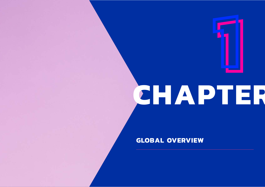# **1 CHAPTER 1**

## **GLOBAL OVERVIEW**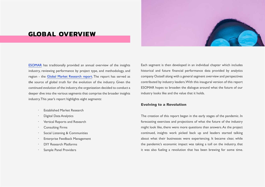#### <span id="page-5-0"></span>**GLOBAL OVERVIEW**



- Established Market Research
- Digital Data Analytics
- Vertical Reports and Research
- **Consulting Firms**
- Social Listening & Communities
- Enterprise Feedback Management
- DIY Research Platforms
- Sample Panel Providers

Each segment is then developed in an individual chapter which includes historical and future financial performance data provided by analytics company Outsell along with a general segment overview and perspectives contributed by industry leaders. With this inaugural version of this report ESOMAR hopes to broaden the dialogue around what the future of our industry looks like and the value that it holds.

#### Evolving to a Revolution

The creation of this report began in the early stages of the pandemic. In forecasting exercises and projections of what the future of the industry might look like, there were more questions than answers. As the project continued, insights work picked back up and leaders started talking about what their businesses were experiencing. It became clear, while the pandemic's economic impact was taking a toll on the industry, that it was also fueling a revolution that has been brewing for some time.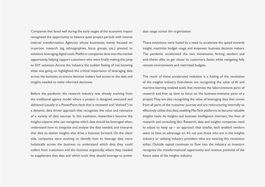Companies that fared well during the early stages of the economic impact recognized the opportunity to balance quiet project periods with intense internal transformation. Agencies whose businesses mainly focused on in-person research (eg, ethnographies, focus groups, etc.) pivoted to solutions leveraging digital tools. Platform companies dove into the market opportunity, helping support customers who were finally making the jump to DIY solutions. Across the industry, the sudden feeling of not knowing what was going on highlighted the critical importance of leveraging data across the business, to ensure decision makers had access to the data and insights needed to make informed decisions.

Before the pandemic the research industry was already evolving from the traditional agency model where a project is designed, executed and delivered (usually in a PowerPoint deck that is reviewed and "shelved") to a dynamic, data driven approach that recognizes the value and relevance of a variety of data sources. In this evolution, researchers become the insights experts who can recognize which data should be leveraged when, understand how to integrate and analyze the data needed, and interpret that data to deliver insights that drive a business forward. On the client side, companies were evolving to identify how to leverage data more holistically across the business, to understand which data they could collect from customers and the business organically, where they needed to supplement that data and which tools they should leverage to power

data usage across the organization.

These evolutions were fueled by a need to accelerate the speed towards insight, maximize budget usage and empower business decision makers. The pandemic accelerated the two movements, forcing vendors and end-clients alike to get closer to customers, faster, while navigating fully remote environments and restricted budgets.

The result of these accelerated *evolutions* is a fueling of the revolution of the insights industry. End-clients are recognizing the value of AI and machine-learning enabled tools that minimize the labor-intensive parts of research and free up time to focus on the business-intensive parts of a project. They are also recognizing the value of leveraging data that comes from all parts of the customer journey and are restructuring internally to effectively utilize that data, enabling MarTech platforms to become valuable insights tools. As insights and business intelligence intersect, the lines of research and consulting blur. Research, data and insights companies need to adjust to keep up – an approach that smaller, tech enabled vendors seem to have an advantage on. It's not just those who are in the insights industry or utilizing industry providers who are noticing this revolution either. Outside capital continues to flow into the industry as investors recognize the transformational opportunity and revenue potential of the future state of the insights industry.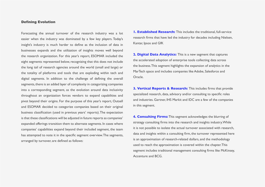#### Defining Evolution

Forecasting the annual turnover of the research industry was a lot easier when the industry was dominated by a few key players. Today's insight's industry is much harder to define as the inclusion of data in businesses expands and the utilization of insights moves well beyond the research organization. For this year's report, ESOMAR included the eight segments represented below, recognizing that this does not include the long tail of research agencies around the world (small and large) or the totality of platforms and tools that are exploding within tech and digital segments. In addition to the challenge of defining the overall segments, there is an added layer of complexity in categorizing companies into a corresponding segment, as the evolution around data inclusivity throughout an organization forces vendors to expand capabilities and pivot beyond their origins. For the purpose of this year's report, Outsell and ESOMAR decided to categorize companies based on their original business classification (used in previous years' reports). The expectation is that these classifications will be adjusted in future reports as companies' expanded offerings transition them to alternate segments. In cases where companies' capabilities expand beyond their included segment, the team has attempted to note it in the specific segment overview. The segments, arranged by turnover, are defined as follows:

**1. Established Research:** This includes the traditional, full-service research firms that have led the industry for decades including Nielsen, Kantar, Ipsos and GfK

**2. Digital Data Analytics:** This is a new segment that captures the accelerated adoption of enterprise tools collecting data across the business. This segment highlights the expansion of analytics in the MarTech space and includes companies like Adobe, Salesforce and Oracle.

**3. Vertical Reports & Research:** This includes firms that provide specialized research, data, advisory and/or consulting to specific roles and industries. Gartner, IHS Markit and IDC are a few of the companies in this segment.

**4. Consulting Firms:** This segment acknowledges the blurring of strategy consulting firms into the research and insights industry. While it is not possible to isolate the actual turnover associated with research, data and insights within a consulting firm, the turnover represented here is an approximation of research-related dollars, and the methodology used to reach the approximation is covered within the chapter. This segment includes traditional management consulting firms like McKinsey, Accenture and BCG.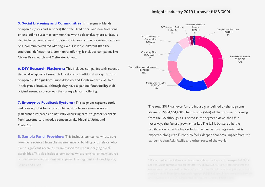#### Insights industry 2019 turnover (US\$ '000)

5. Social Listening and Communities: This segment blends companies (tools and services) that offer traditional and non-traditional on and offline customer communities with tools analyzing social data. It also includes companies that have a social or community revenue stream or a community-related offering, even if it looks different than the traditional definition of a community offering. It includes companies like Cision, Brandwatch and Meltwater Group.

**6. DIY Research Platforms:** This includes companies with revenue tied to do-it-yourself research functionality. Traditional survey platform companies like Qualtrics, SurveyMonkey and Confirmit are classified in this group because, although they have expanded functionality, their original revenue source was the survey platform offering.

7. Enterprise Feedback Systems: This segment captures tools and offerings that focus on combining data from various sources (established research and naturally occurring data) to garner feedback from customers. It includes companies like Medallia, Verint and MaritzCX.

8. Sample Panel Providers: This includes companies whose sole revenue is sourced from the maintenance or building of panels or who have a significant revenue stream associated with underlying panel capabilities. This also includes companies whose original primary source of revenue was tied to sample or panel. This segment includes Dynata,



The total 2019 turnover for the industry, as defined by the segments above is US\$84,664,468<sup>1</sup>. The majority (56%) of the turnover is coming from the US although, as is noted in the segment views, the US is not always the fastest growing market. The US is bolstered by the proliferation of technology solutions across various segments but is expected, along with Europe, to feel a deeper economic impact from the pandemic than Asia-Pacific and other parts of the world.

<sup>1</sup> If you consider the industry performance without the impact of the expanded digital